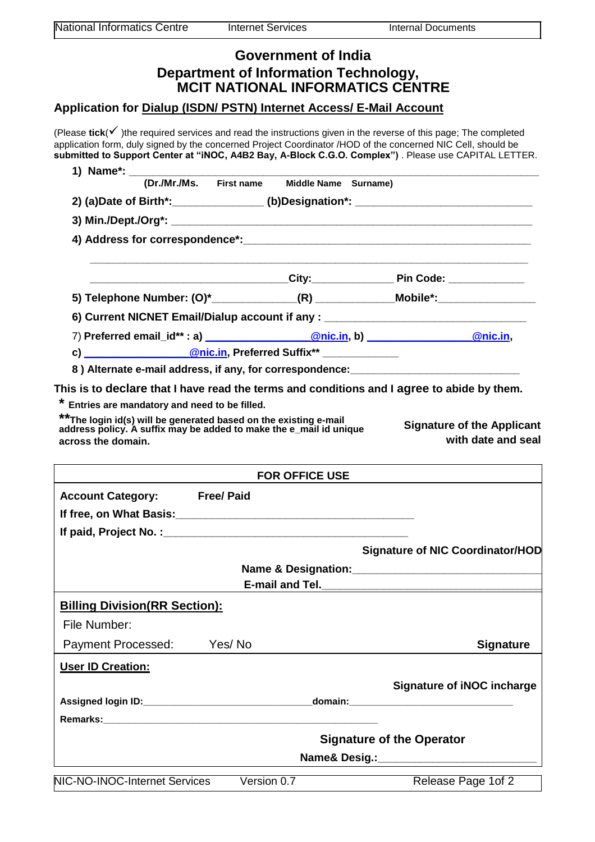| Government of India<br><b>Department of Information Technology,</b><br>MCIT NATIONAL INFORMATICS CENTRE<br>Application for Dialup (ISDN/ PSTN) Internet Access/ E-Mail Account |                       |                                                                                  |
|--------------------------------------------------------------------------------------------------------------------------------------------------------------------------------|-----------------------|----------------------------------------------------------------------------------|
|                                                                                                                                                                                |                       |                                                                                  |
|                                                                                                                                                                                |                       |                                                                                  |
|                                                                                                                                                                                |                       |                                                                                  |
|                                                                                                                                                                                |                       | 2) (a)Date of Birth*:________________(b)Designation*: __________________________ |
|                                                                                                                                                                                |                       |                                                                                  |
|                                                                                                                                                                                |                       |                                                                                  |
|                                                                                                                                                                                |                       |                                                                                  |
|                                                                                                                                                                                |                       | 5) Telephone Number: (0)*______________(R) _____________Mobile*:________________ |
|                                                                                                                                                                                |                       | 6) Current NICNET Email/Dialup account if any : ________________________________ |
|                                                                                                                                                                                |                       | 7) Preferred email_id**: a) <u>Chic.in</u> , b) Chicago (Chic.in, b) Chic.in,    |
|                                                                                                                                                                                |                       |                                                                                  |
| c) ____________________@nic.in, Preferred Suffix** _____________<br>8) Alternate e-mail address, if any, for correspondence: _______________________                           |                       |                                                                                  |
| **The login id(s) will be generated based on the existing e-mail<br>address policy. A suffix may be added to make the e_mail id unique<br>across the domain.                   |                       | with date and seal                                                               |
|                                                                                                                                                                                | <b>FOR OFFICE USE</b> |                                                                                  |
| <b>Account Category:</b><br><b>Free/ Paid</b>                                                                                                                                  |                       |                                                                                  |
|                                                                                                                                                                                |                       |                                                                                  |
|                                                                                                                                                                                |                       |                                                                                  |
|                                                                                                                                                                                |                       | <b>Signature of NIC Coordinator/HOD</b>                                          |
|                                                                                                                                                                                |                       |                                                                                  |
|                                                                                                                                                                                |                       |                                                                                  |
| <b>Billing Division (RR Section):</b>                                                                                                                                          |                       |                                                                                  |
| File Number:                                                                                                                                                                   |                       |                                                                                  |
| <b>Payment Processed:</b><br>Yes/ No                                                                                                                                           |                       | <b>Signature</b>                                                                 |
| <b>User ID Creation:</b>                                                                                                                                                       |                       |                                                                                  |
|                                                                                                                                                                                |                       | <b>Signature of iNOC incharge</b>                                                |
|                                                                                                                                                                                |                       |                                                                                  |
|                                                                                                                                                                                |                       |                                                                                  |
| <b>Signature of the Operator</b>                                                                                                                                               |                       |                                                                                  |
|                                                                                                                                                                                |                       |                                                                                  |
| NIC-NO-INOC-Internet Services                                                                                                                                                  | Version 0.7           | Release Page 1 of 2                                                              |